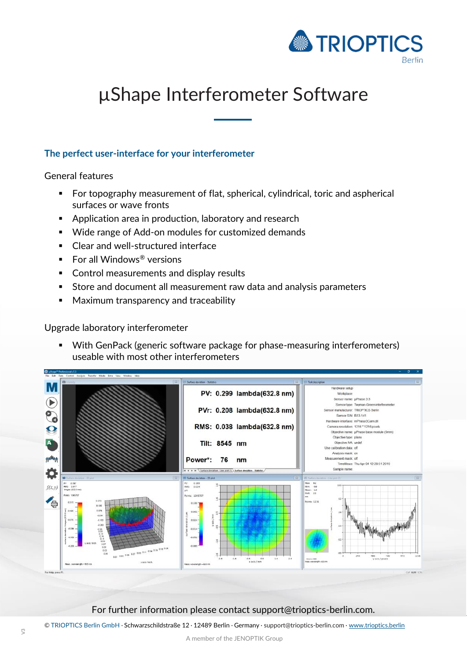

## µShape Interferometer Software

## **The perfect user-interface for your interferometer**

General features

- For topography measurement of flat, spherical, cylindrical, toric and aspherical surfaces or wave fronts
- **Application area in production, laboratory and research**
- Wide range of Add-on modules for customized demands
- Clear and well-structured interface
- For all Windows<sup>®</sup> versions
- **EX Control measurements and display results**
- Store and document all measurement raw data and analysis parameters
- **Maximum transparency and traceability**

Upgrade laboratory interferometer

■ With GenPack (generic software package for phase-measuring interferometers) useable with most other interferometers



## For further information please contact support@trioptics-berlin.com.

© TRIOPTICS Berlin GmbH · Schwarzschildstraße 12 · 12489 Berlin · Germany · support@trioptics-berlin.com · [www.trioptics.berlin](http://www.trioptics.berlin/)